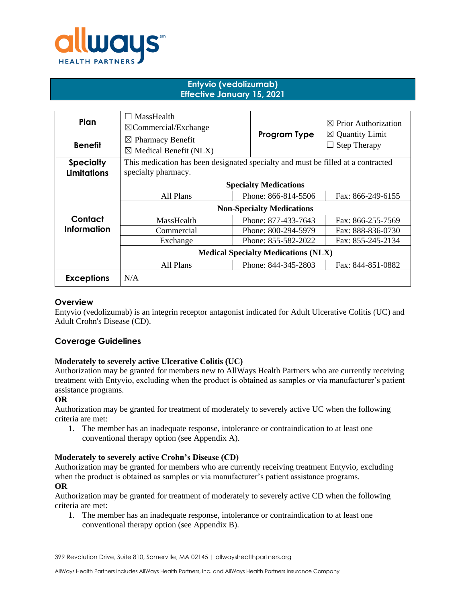

## **Entyvio (vedolizumab) Effective January 15, 2021**

| Plan                                   | MassHealth<br>$\boxtimes$ Commercial/Exchange                                                           |                                          |                     | $\boxtimes$ Prior Authorization                   |
|----------------------------------------|---------------------------------------------------------------------------------------------------------|------------------------------------------|---------------------|---------------------------------------------------|
| <b>Benefit</b>                         | $\boxtimes$ Pharmacy Benefit<br>$\boxtimes$ Medical Benefit (NLX)                                       |                                          | Program Type        | $\boxtimes$ Quantity Limit<br><b>Step Therapy</b> |
| <b>Specialty</b><br><b>Limitations</b> | This medication has been designated specialty and must be filled at a contracted<br>specialty pharmacy. |                                          |                     |                                                   |
|                                        | <b>Specialty Medications</b>                                                                            |                                          |                     |                                                   |
|                                        | All Plans                                                                                               | Phone: 866-814-5506<br>Fax: 866-249-6155 |                     |                                                   |
|                                        | <b>Non-Specialty Medications</b>                                                                        |                                          |                     |                                                   |
| Contact                                | MassHealth                                                                                              | Phone: 877-433-7643<br>Fax: 866-255-7569 |                     |                                                   |
| Information                            | Commercial                                                                                              | Phone: 800-294-5979<br>Fax: 888-836-0730 |                     |                                                   |
|                                        | Exchange                                                                                                |                                          | Phone: 855-582-2022 | Fax: 855-245-2134                                 |
|                                        | <b>Medical Specialty Medications (NLX)</b>                                                              |                                          |                     |                                                   |
|                                        | All Plans                                                                                               |                                          | Phone: 844-345-2803 | Fax: 844-851-0882                                 |
| <b>Exceptions</b>                      | N/A                                                                                                     |                                          |                     |                                                   |

## **Overview**

Entyvio (vedolizumab) is an integrin receptor antagonist indicated for Adult Ulcerative Colitis (UC) and Adult Crohn's Disease (CD).

# **Coverage Guidelines**

## **Moderately to severely active Ulcerative Colitis (UC)**

Authorization may be granted for members new to AllWays Health Partners who are currently receiving treatment with Entyvio, excluding when the product is obtained as samples or via manufacturer's patient assistance programs.

## **OR**

Authorization may be granted for treatment of moderately to severely active UC when the following criteria are met:

1. The member has an inadequate response, intolerance or contraindication to at least one conventional therapy option (see Appendix A).

#### **Moderately to severely active Crohn's Disease (CD)**

Authorization may be granted for members who are currently receiving treatment Entyvio, excluding when the product is obtained as samples or via manufacturer's patient assistance programs.

## **OR**

Authorization may be granted for treatment of moderately to severely active CD when the following criteria are met:

1. The member has an inadequate response, intolerance or contraindication to at least one conventional therapy option (see Appendix B).

399 Revolution Drive, Suite 810, Somerville, MA 02145 | allwayshealthpartners.org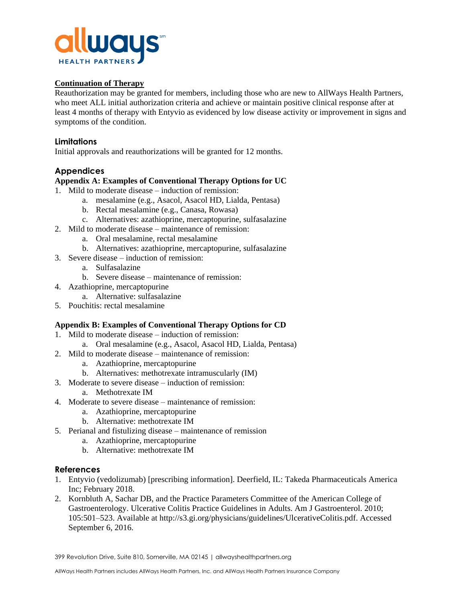

## **Continuation of Therapy**

Reauthorization may be granted for members, including those who are new to AllWays Health Partners, who meet ALL initial authorization criteria and achieve or maintain positive clinical response after at least 4 months of therapy with Entyvio as evidenced by low disease activity or improvement in signs and symptoms of the condition.

## **Limitations**

Initial approvals and reauthorizations will be granted for 12 months.

# **Appendices**

## **Appendix A: Examples of Conventional Therapy Options for UC**

- 1. Mild to moderate disease induction of remission:
	- a. mesalamine (e.g., Asacol, Asacol HD, Lialda, Pentasa)
	- b. Rectal mesalamine (e.g., Canasa, Rowasa)
	- c. Alternatives: azathioprine, mercaptopurine, sulfasalazine
- 2. Mild to moderate disease maintenance of remission:
	- a. Oral mesalamine, rectal mesalamine
	- b. Alternatives: azathioprine, mercaptopurine, sulfasalazine
- 3. Severe disease induction of remission:
	- a. Sulfasalazine
	- b. Severe disease maintenance of remission:
- 4. Azathioprine, mercaptopurine
	- a. Alternative: sulfasalazine
- 5. Pouchitis: rectal mesalamine

## **Appendix B: Examples of Conventional Therapy Options for CD**

- 1. Mild to moderate disease induction of remission:
	- a. Oral mesalamine (e.g., Asacol, Asacol HD, Lialda, Pentasa)
- 2. Mild to moderate disease maintenance of remission:
	- a. Azathioprine, mercaptopurine
	- b. Alternatives: methotrexate intramuscularly (IM)
- 3. Moderate to severe disease induction of remission:
	- a. Methotrexate IM
- 4. Moderate to severe disease maintenance of remission:
	- a. Azathioprine, mercaptopurine
	- b. Alternative: methotrexate IM
- 5. Perianal and fistulizing disease maintenance of remission
	- a. Azathioprine, mercaptopurine
	- b. Alternative: methotrexate IM

## **References**

- 1. Entyvio (vedolizumab) [prescribing information]. Deerfield, IL: Takeda Pharmaceuticals America Inc; February 2018.
- 2. Kornbluth A, Sachar DB, and the Practice Parameters Committee of the American College of Gastroenterology. Ulcerative Colitis Practice Guidelines in Adults. Am J Gastroenterol. 2010; 105:501–523. Available at http://s3.gi.org/physicians/guidelines/UlcerativeColitis.pdf. Accessed September 6, 2016.